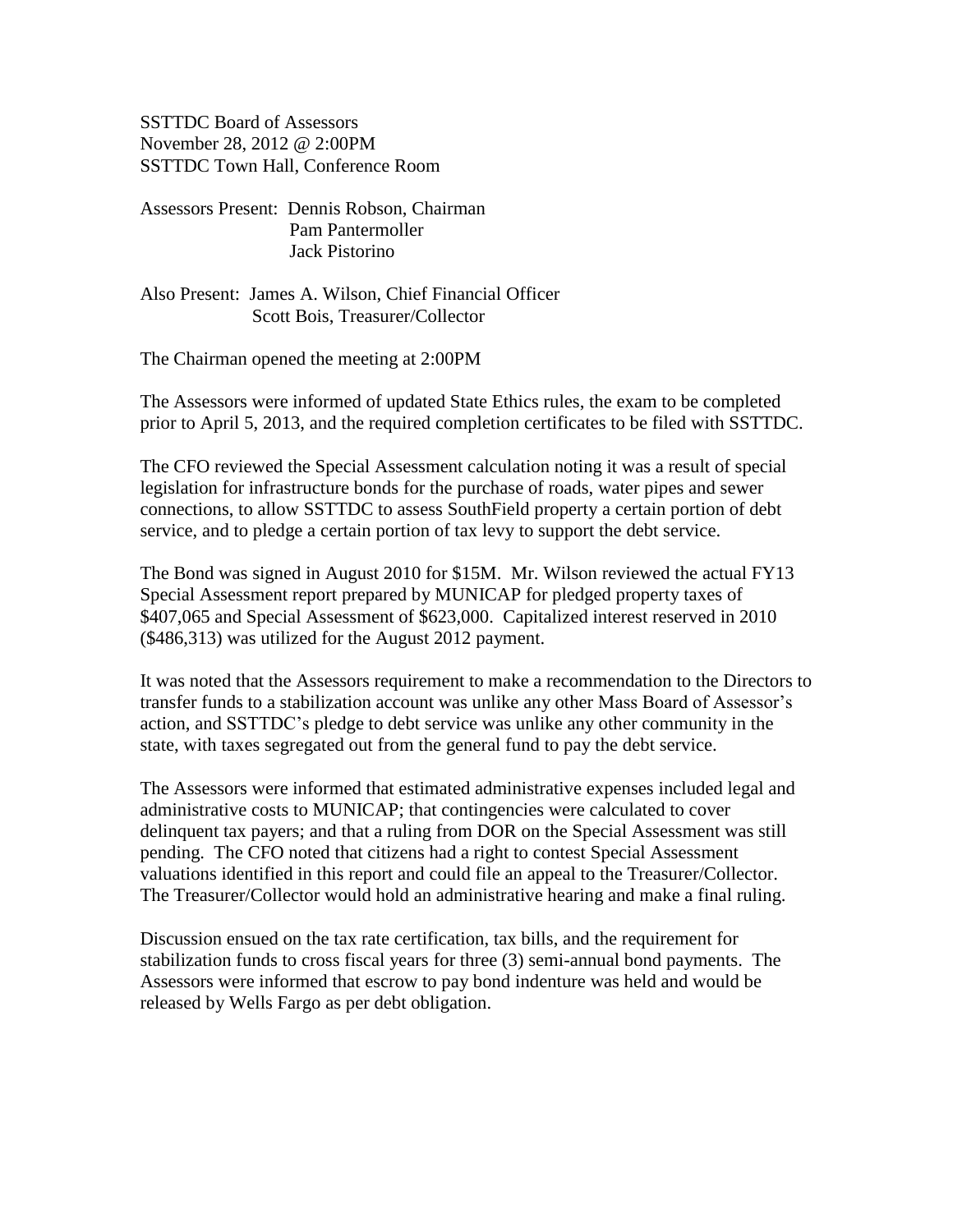SSTTDC Board of Assessors November 28, 2012 @ 2:00PM SSTTDC Town Hall, Conference Room

- Assessors Present: Dennis Robson, Chairman Pam Pantermoller Jack Pistorino
- Also Present: James A. Wilson, Chief Financial Officer Scott Bois, Treasurer/Collector

The Chairman opened the meeting at 2:00PM

The Assessors were informed of updated State Ethics rules, the exam to be completed prior to April 5, 2013, and the required completion certificates to be filed with SSTTDC.

The CFO reviewed the Special Assessment calculation noting it was a result of special legislation for infrastructure bonds for the purchase of roads, water pipes and sewer connections, to allow SSTTDC to assess SouthField property a certain portion of debt service, and to pledge a certain portion of tax levy to support the debt service.

The Bond was signed in August 2010 for \$15M. Mr. Wilson reviewed the actual FY13 Special Assessment report prepared by MUNICAP for pledged property taxes of \$407,065 and Special Assessment of \$623,000. Capitalized interest reserved in 2010 (\$486,313) was utilized for the August 2012 payment.

It was noted that the Assessors requirement to make a recommendation to the Directors to transfer funds to a stabilization account was unlike any other Mass Board of Assessor's action, and SSTTDC's pledge to debt service was unlike any other community in the state, with taxes segregated out from the general fund to pay the debt service.

The Assessors were informed that estimated administrative expenses included legal and administrative costs to MUNICAP; that contingencies were calculated to cover delinquent tax payers; and that a ruling from DOR on the Special Assessment was still pending. The CFO noted that citizens had a right to contest Special Assessment valuations identified in this report and could file an appeal to the Treasurer/Collector. The Treasurer/Collector would hold an administrative hearing and make a final ruling.

Discussion ensued on the tax rate certification, tax bills, and the requirement for stabilization funds to cross fiscal years for three (3) semi-annual bond payments. The Assessors were informed that escrow to pay bond indenture was held and would be released by Wells Fargo as per debt obligation.